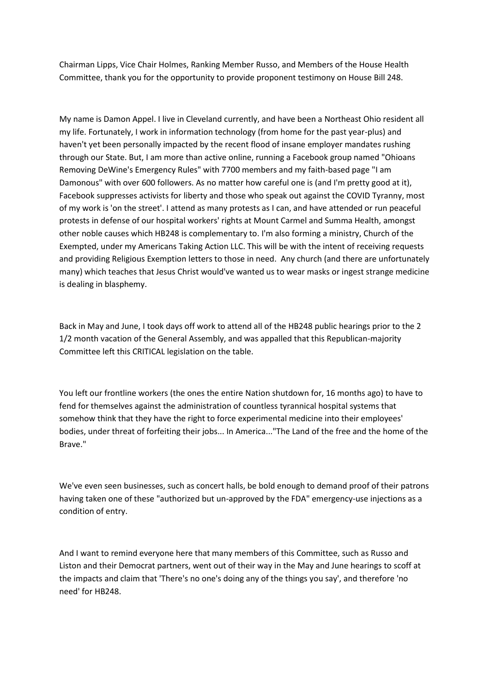Chairman Lipps, Vice Chair Holmes, Ranking Member Russo, and Members of the House Health Committee, thank you for the opportunity to provide proponent testimony on House Bill 248.

My name is Damon Appel. I live in Cleveland currently, and have been a Northeast Ohio resident all my life. Fortunately, I work in information technology (from home for the past year-plus) and haven't yet been personally impacted by the recent flood of insane employer mandates rushing through our State. But, I am more than active online, running a Facebook group named "Ohioans Removing DeWine's Emergency Rules" with 7700 members and my faith-based page "I am Damonous" with over 600 followers. As no matter how careful one is (and I'm pretty good at it), Facebook suppresses activists for liberty and those who speak out against the COVID Tyranny, most of my work is 'on the street'. I attend as many protests as I can, and have attended or run peaceful protests in defense of our hospital workers' rights at Mount Carmel and Summa Health, amongst other noble causes which HB248 is complementary to. I'm also forming a ministry, Church of the Exempted, under my Americans Taking Action LLC. This will be with the intent of receiving requests and providing Religious Exemption letters to those in need. Any church (and there are unfortunately many) which teaches that Jesus Christ would've wanted us to wear masks or ingest strange medicine is dealing in blasphemy.

Back in May and June, I took days off work to attend all of the HB248 public hearings prior to the 2 1/2 month vacation of the General Assembly, and was appalled that this Republican-majority Committee left this CRITICAL legislation on the table.

You left our frontline workers (the ones the entire Nation shutdown for, 16 months ago) to have to fend for themselves against the administration of countless tyrannical hospital systems that somehow think that they have the right to force experimental medicine into their employees' bodies, under threat of forfeiting their jobs... In America..."The Land of the free and the home of the Brave."

We've even seen businesses, such as concert halls, be bold enough to demand proof of their patrons having taken one of these "authorized but un-approved by the FDA" emergency-use injections as a condition of entry.

And I want to remind everyone here that many members of this Committee, such as Russo and Liston and their Democrat partners, went out of their way in the May and June hearings to scoff at the impacts and claim that 'There's no one's doing any of the things you say', and therefore 'no need' for HB248.